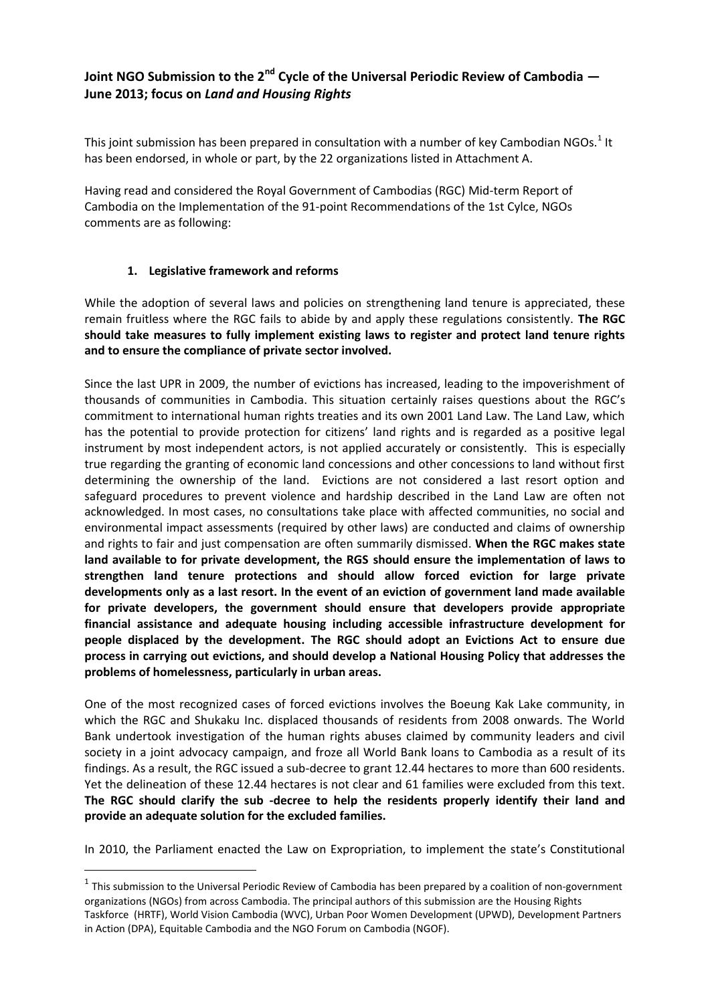## **Joint NGO Submission to the 2nd Cycle of the Universal Periodic Review of Cambodia — June 2013; focus on** *Land and Housing Rights*

This joint submission has been prepared in consultation with a number of key Cambodian NGOs.<sup>1</sup> It has been endorsed, in whole or part, by the 22 organizations listed in Attachment A.

Having read and considered the Royal Government of Cambodias (RGC) Mid-term Report of Cambodia on the Implementation of the 91-point Recommendations of the 1st Cylce, NGOs comments are as following:

## **1. Legislative framework and reforms**

-

While the adoption of several laws and policies on strengthening land tenure is appreciated, these remain fruitless where the RGC fails to abide by and apply these regulations consistently. **The RGC should take measures to fully implement existing laws to register and protect land tenure rights and to ensure the compliance of private sector involved.**

Since the last UPR in 2009, the number of evictions has increased, leading to the impoverishment of thousands of communities in Cambodia. This situation certainly raises questions about the RGC's commitment to international human rights treaties and its own 2001 Land Law. The Land Law, which has the potential to provide protection for citizens' land rights and is regarded as a positive legal instrument by most independent actors, is not applied accurately or consistently. This is especially true regarding the granting of economic land concessions and other concessions to land without first determining the ownership of the land. Evictions are not considered a last resort option and safeguard procedures to prevent violence and hardship described in the Land Law are often not acknowledged. In most cases, no consultations take place with affected communities, no social and environmental impact assessments (required by other laws) are conducted and claims of ownership and rights to fair and just compensation are often summarily dismissed. **When the RGC makes state land available to for private development, the RGS should ensure the implementation of laws to strengthen land tenure protections and should allow forced eviction for large private developments only as a last resort. In the event of an eviction of government land made available for private developers, the government should ensure that developers provide appropriate financial assistance and adequate housing including accessible infrastructure development for people displaced by the development. The RGC should adopt an Evictions Act to ensure due process in carrying out evictions, and should develop a National Housing Policy that addresses the problems of homelessness, particularly in urban areas.** 

One of the most recognized cases of forced evictions involves the Boeung Kak Lake community, in which the RGC and Shukaku Inc. displaced thousands of residents from 2008 onwards. The World Bank undertook investigation of the human rights abuses claimed by community leaders and civil society in a joint advocacy campaign, and froze all World Bank loans to Cambodia as a result of its findings. As a result, the RGC issued a sub-decree to grant 12.44 hectares to more than 600 residents. Yet the delineation of these 12.44 hectares is not clear and 61 families were excluded from this text. **The RGC should clarify the sub -decree to help the residents properly identify their land and provide an adequate solution for the excluded families.**

In 2010, the Parliament enacted the Law on Expropriation, to implement the state's Constitutional

 $<sup>1</sup>$  This submission to the Universal Periodic Review of Cambodia has been prepared by a coalition of non-government</sup> organizations (NGOs) from across Cambodia. The principal authors of this submission are the Housing Rights Taskforce (HRTF), World Vision Cambodia (WVC), Urban Poor Women Development (UPWD), Development Partners in Action (DPA), Equitable Cambodia and the NGO Forum on Cambodia (NGOF).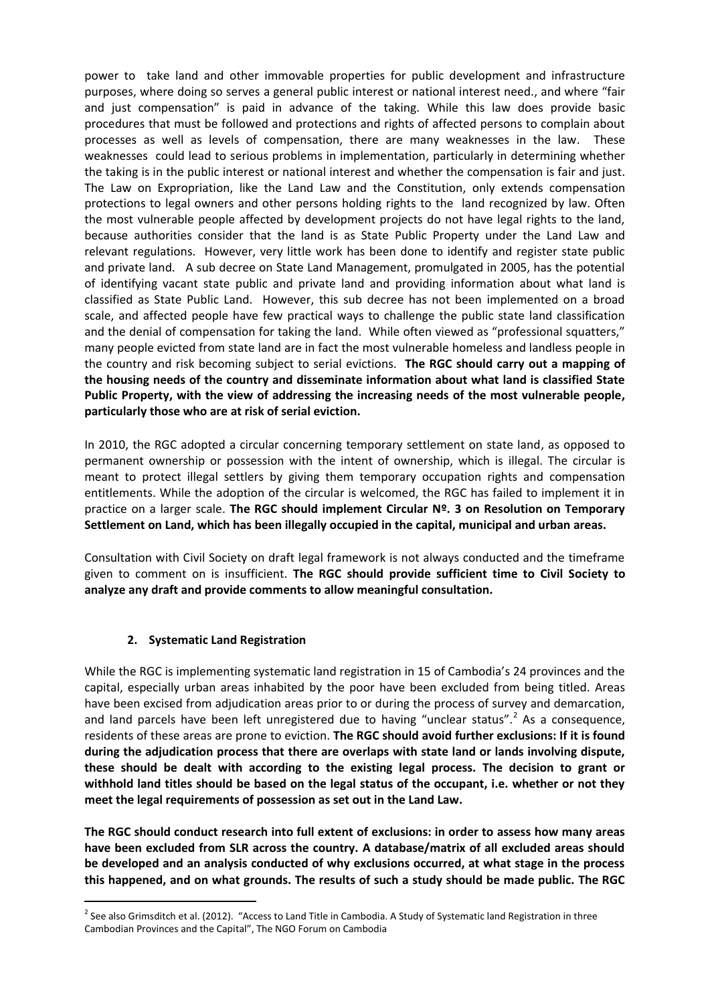power to take land and other immovable properties for public development and infrastructure purposes, where doing so serves a general public interest or national interest need., and where "fair and just compensation" is paid in advance of the taking. While this law does provide basic procedures that must be followed and protections and rights of affected persons to complain about processes as well as levels of compensation, there are many weaknesses in the law. These weaknesses could lead to serious problems in implementation, particularly in determining whether the taking is in the public interest or national interest and whether the compensation is fair and just. The Law on Expropriation, like the Land Law and the Constitution, only extends compensation protections to legal owners and other persons holding rights to the land recognized by law. Often the most vulnerable people affected by development projects do not have legal rights to the land, because authorities consider that the land is as State Public Property under the Land Law and relevant regulations. However, very little work has been done to identify and register state public and private land. A sub decree on State Land Management, promulgated in 2005, has the potential of identifying vacant state public and private land and providing information about what land is classified as State Public Land. However, this sub decree has not been implemented on a broad scale, and affected people have few practical ways to challenge the public state land classification and the denial of compensation for taking the land. While often viewed as "professional squatters," many people evicted from state land are in fact the most vulnerable homeless and landless people in the country and risk becoming subject to serial evictions. **The RGC should carry out a mapping of the housing needs of the country and disseminate information about what land is classified State Public Property, with the view of addressing the increasing needs of the most vulnerable people, particularly those who are at risk of serial eviction.**

In 2010, the RGC adopted a circular concerning temporary settlement on state land, as opposed to permanent ownership or possession with the intent of ownership, which is illegal. The circular is meant to protect illegal settlers by giving them temporary occupation rights and compensation entitlements. While the adoption of the circular is welcomed, the RGC has failed to implement it in practice on a larger scale. **The RGC should implement Circular Nº. 3 on Resolution on Temporary Settlement on Land, which has been illegally occupied in the capital, municipal and urban areas.**

Consultation with Civil Society on draft legal framework is not always conducted and the timeframe given to comment on is insufficient. **The RGC should provide sufficient time to Civil Society to analyze any draft and provide comments to allow meaningful consultation.** 

## **2. Systematic Land Registration**

-

While the RGC is implementing systematic land registration in 15 of Cambodia's 24 provinces and the capital, especially urban areas inhabited by the poor have been excluded from being titled. Areas have been excised from adjudication areas prior to or during the process of survey and demarcation, and land parcels have been left unregistered due to having "unclear status".<sup>2</sup> As a consequence, residents of these areas are prone to eviction. **The RGC should avoid further exclusions: If it is found during the adjudication process that there are overlaps with state land or lands involving dispute, these should be dealt with according to the existing legal process. The decision to grant or withhold land titles should be based on the legal status of the occupant, i.e. whether or not they meet the legal requirements of possession as set out in the Land Law.** 

**The RGC should conduct research into full extent of exclusions: in order to assess how many areas have been excluded from SLR across the country. A database/matrix of all excluded areas should be developed and an analysis conducted of why exclusions occurred, at what stage in the process this happened, and on what grounds. The results of such a study should be made public. The RGC** 

 $^2$  See also Grimsditch et al. (2012). "Access to Land Title in Cambodia. A Study of Systematic land Registration in three Cambodian Provinces and the Capital", The NGO Forum on Cambodia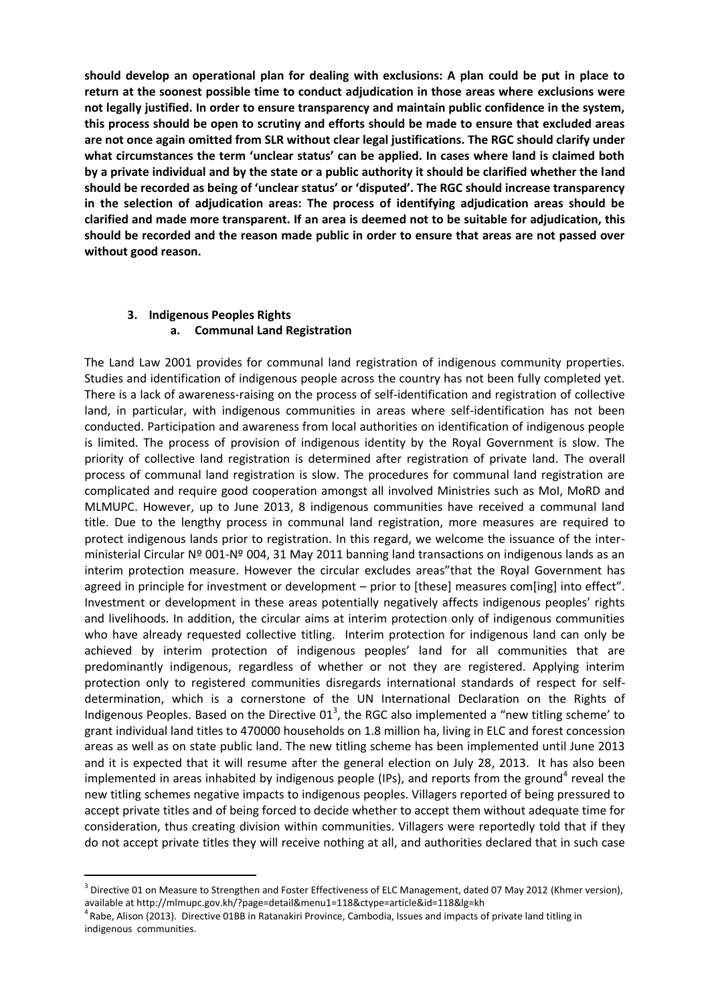**should develop an operational plan for dealing with exclusions: A plan could be put in place to return at the soonest possible time to conduct adjudication in those areas where exclusions were not legally justified. In order to ensure transparency and maintain public confidence in the system, this process should be open to scrutiny and efforts should be made to ensure that excluded areas are not once again omitted from SLR without clear legal justifications. The RGC should clarify under what circumstances the term 'unclear status' can be applied. In cases where land is claimed both by a private individual and by the state or a public authority it should be clarified whether the land should be recorded as being of 'unclear status' or 'disputed'. The RGC should increase transparency in the selection of adjudication areas: The process of identifying adjudication areas should be clarified and made more transparent. If an area is deemed not to be suitable for adjudication, this should be recorded and the reason made public in order to ensure that areas are not passed over without good reason.** 

## **3. Indigenous Peoples Rights a. Communal Land Registration**

The Land Law 2001 provides for communal land registration of indigenous community properties. Studies and identification of indigenous people across the country has not been fully completed yet. There is a lack of awareness-raising on the process of self-identification and registration of collective land, in particular, with indigenous communities in areas where self-identification has not been conducted. Participation and awareness from local authorities on identification of indigenous people is limited. The process of provision of indigenous identity by the Royal Government is slow. The priority of collective land registration is determined after registration of private land. The overall process of communal land registration is slow. The procedures for communal land registration are complicated and require good cooperation amongst all involved Ministries such as MoI, MoRD and MLMUPC. However, up to June 2013, 8 indigenous communities have received a communal land title. Due to the lengthy process in communal land registration, more measures are required to protect indigenous lands prior to registration. In this regard, we welcome the issuance of the interministerial Circular Nº 001-Nº 004, 31 May 2011 banning land transactions on indigenous lands as an interim protection measure. However the circular excludes areas"that the Royal Government has agreed in principle for investment or development – prior to [these] measures com[ing] into effect". Investment or development in these areas potentially negatively affects indigenous peoples' rights and livelihoods. In addition, the circular aims at interim protection only of indigenous communities who have already requested collective titling. Interim protection for indigenous land can only be achieved by interim protection of indigenous peoples' land for all communities that are predominantly indigenous, regardless of whether or not they are registered. Applying interim protection only to registered communities disregards international standards of respect for selfdetermination, which is a cornerstone of the UN International Declaration on the Rights of Indigenous Peoples. Based on the Directive 01<sup>3</sup>, the RGC also implemented a "new titling scheme' to grant individual land titles to 470000 households on 1.8 million ha, living in ELC and forest concession areas as well as on state public land. The new titling scheme has been implemented until June 2013 and it is expected that it will resume after the general election on July 28, 2013. It has also been implemented in areas inhabited by indigenous people (IPs), and reports from the ground<sup>4</sup> reveal the new titling schemes negative impacts to indigenous peoples. Villagers reported of being pressured to accept private titles and of being forced to decide whether to accept them without adequate time for consideration, thus creating division within communities. Villagers were reportedly told that if they do not accept private titles they will receive nothing at all, and authorities declared that in such case

-

 $^3$  Directive 01 on Measure to Strengthen and Foster Effectiveness of ELC Management, dated 07 May 2012 (Khmer version), available at http://mlmupc.gov.kh/?page=detail&menu1=118&ctype=article&id=118&lg=kh

<sup>&</sup>lt;sup>4</sup> Rabe, Alison (2013). Directive 01BB in Ratanakiri Province, Cambodia, Issues and impacts of private land titling in indigenous communities.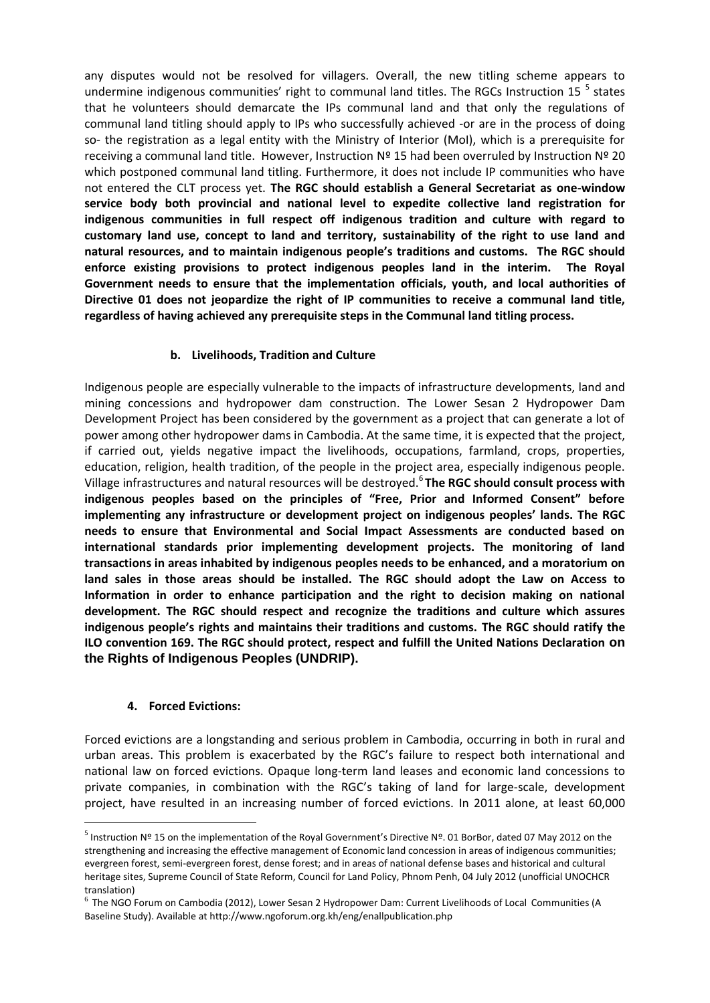any disputes would not be resolved for villagers. Overall, the new titling scheme appears to undermine indigenous communities' right to communal land titles. The RGCs Instruction 15<sup>5</sup> states that he volunteers should demarcate the IPs communal land and that only the regulations of communal land titling should apply to IPs who successfully achieved -or are in the process of doing so- the registration as a legal entity with the Ministry of Interior (MoI), which is a prerequisite for receiving a communal land title. However, Instruction Nº 15 had been overruled by Instruction Nº 20 which postponed communal land titling. Furthermore, it does not include IP communities who have not entered the CLT process yet. **The RGC should establish a General Secretariat as one-window service body both provincial and national level to expedite collective land registration for indigenous communities in full respect off indigenous tradition and culture with regard to customary land use, concept to land and territory, sustainability of the right to use land and natural resources, and to maintain indigenous people's traditions and customs. The RGC should enforce existing provisions to protect indigenous peoples land in the interim. The Royal Government needs to ensure that the implementation officials, youth, and local authorities of Directive 01 does not jeopardize the right of IP communities to receive a communal land title, regardless of having achieved any prerequisite steps in the Communal land titling process.** 

## **b. Livelihoods, Tradition and Culture**

Indigenous people are especially vulnerable to the impacts of infrastructure developments, land and mining concessions and hydropower dam construction. The Lower Sesan 2 Hydropower Dam Development Project has been considered by the government as a project that can generate a lot of power among other hydropower dams in Cambodia. At the same time, it is expected that the project, if carried out, yields negative impact the livelihoods, occupations, farmland, crops, properties, education, religion, health tradition, of the people in the project area, especially indigenous people. Village infrastructures and natural resources will be destroyed.<sup>6</sup> The RGC should consult process with **indigenous peoples based on the principles of "Free, Prior and Informed Consent" before implementing any infrastructure or development project on indigenous peoples' lands. The RGC needs to ensure that Environmental and Social Impact Assessments are conducted based on international standards prior implementing development projects. The monitoring of land transactions in areas inhabited by indigenous peoples needs to be enhanced, and a moratorium on land sales in those areas should be installed. The RGC should adopt the Law on Access to Information in order to enhance participation and the right to decision making on national development. The RGC should respect and recognize the traditions and culture which assures indigenous people's rights and maintains their traditions and customs. The RGC should ratify the ILO convention 169. The RGC should protect, respect and fulfill the United Nations Declaration on the Rights of Indigenous Peoples (UNDRIP).** 

#### **4. Forced Evictions:**

-

Forced evictions are a longstanding and serious problem in Cambodia, occurring in both in rural and urban areas. This problem is exacerbated by the RGC's failure to respect both international and national law on forced evictions. Opaque long-term land leases and economic land concessions to private companies, in combination with the RGC's taking of land for large-scale, development project, have resulted in an increasing number of forced evictions. In 2011 alone, at least 60,000

<sup>&</sup>lt;sup>5</sup> Instruction Nº 15 on the implementation of the Royal Government's Directive Nº. 01 BorBor, dated 07 May 2012 on the strengthening and increasing the effective management of Economic land concession in areas of indigenous communities; evergreen forest, semi-evergreen forest, dense forest; and in areas of national defense bases and historical and cultural heritage sites, Supreme Council of State Reform, Council for Land Policy, Phnom Penh, 04 July 2012 (unofficial UNOCHCR translation)

 $^6$  The NGO Forum on Cambodia (2012), Lower Sesan 2 Hydropower Dam: Current Livelihoods of Local Communities (A Baseline Study). Available at<http://www.ngoforum.org.kh/eng/enallpublication.php>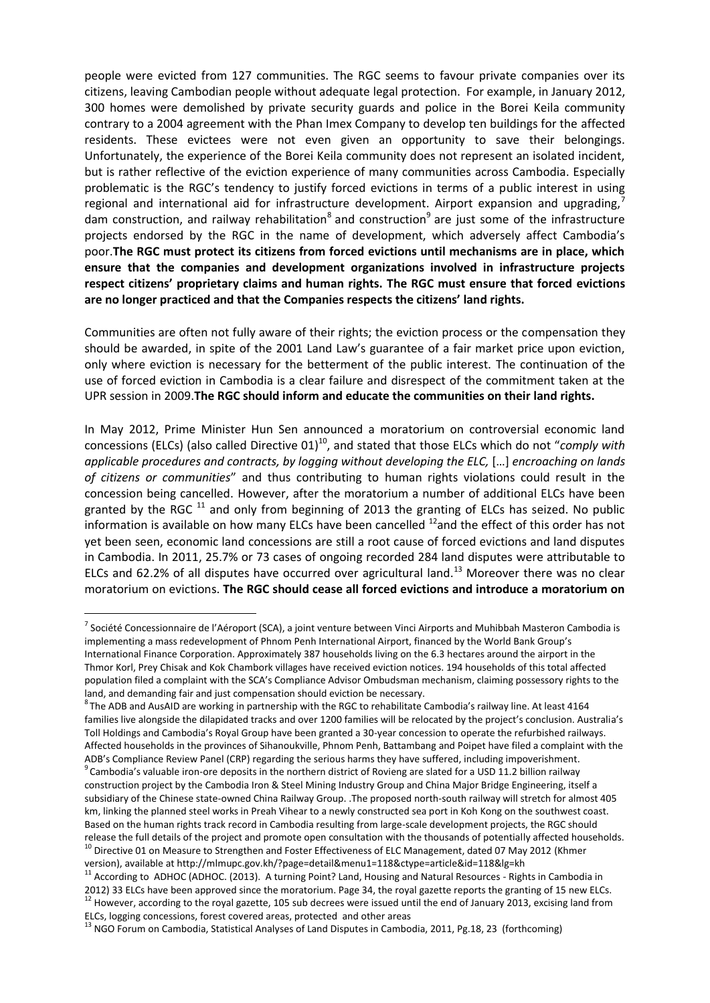people were evicted from 127 communities. The RGC seems to favour private companies over its citizens, leaving Cambodian people without adequate legal protection. For example, in January 2012, 300 homes were demolished by private security guards and police in the Borei Keila community contrary to a 2004 agreement with the Phan Imex Company to develop ten buildings for the affected residents. These evictees were not even given an opportunity to save their belongings. Unfortunately, the experience of the Borei Keila community does not represent an isolated incident, but is rather reflective of the eviction experience of many communities across Cambodia. Especially problematic is the RGC's tendency to justify forced evictions in terms of a public interest in using regional and international aid for infrastructure development. Airport expansion and upgrading.<sup>7</sup> dam construction, and railway rehabilitation<sup>8</sup> and construction<sup>9</sup> are just some of the infrastructure projects endorsed by the RGC in the name of development, which adversely affect Cambodia's poor.**The RGC must protect its citizens from forced evictions until mechanisms are in place, which ensure that the companies and development organizations involved in infrastructure projects respect citizens' proprietary claims and human rights. The RGC must ensure that forced evictions are no longer practiced and that the Companies respects the citizens' land rights.**

Communities are often not fully aware of their rights; the eviction process or the compensation they should be awarded, in spite of the 2001 Land Law's guarantee of a fair market price upon eviction, only where eviction is necessary for the betterment of the public interest. The continuation of the use of forced eviction in Cambodia is a clear failure and disrespect of the commitment taken at the UPR session in 2009.**The RGC should inform and educate the communities on their land rights.** 

In May 2012, Prime Minister Hun Sen announced a moratorium on controversial economic land concessions (ELCs) (also called Directive 01)<sup>10</sup>, and stated that those ELCs which do not "*comply with applicable procedures and contracts, by logging without developing the ELC,* […] *encroaching on lands of citizens or communities*" and thus contributing to human rights violations could result in the concession being cancelled. However, after the moratorium a number of additional ELCs have been granted by the RGC  $^{11}$  and only from beginning of 2013 the granting of ELCs has seized. No public information is available on how many ELCs have been cancelled  $^{12}$  and the effect of this order has not yet been seen, economic land concessions are still a root cause of forced evictions and land disputes in Cambodia. In 2011, 25.7% or 73 cases of ongoing recorded 284 land disputes were attributable to ELCs and 62.2% of all disputes have occurred over agricultural land.<sup>13</sup> Moreover there was no clear moratorium on evictions. **The RGC should cease all forced evictions and introduce a moratorium on** 

 $^8$ The ADB and AusAID are working in partnership with the RGC to rehabilitate Cambodia's railway line. At least 4164 families live alongside the dilapidated tracks and over 1200 families will be relocated by the project's conclusion. Australia's Toll Holdings and Cambodia's Royal Group have been granted a 30-year concession to operate the refurbished railways. Affected households in the provinces of Sihanoukville, Phnom Penh, Battambang and Poipet have filed a complaint with the ADB's Compliance Review Panel (CRP) regarding the serious harms they have suffered, including impoverishment.  $^9$  Cambodia's valuable iron-ore deposits in the northern district of Rovieng are slated for a USD 11.2 billion railway construction project by the Cambodia Iron & Steel Mining Industry Group and China Major Bridge Engineering, itself a subsidiary of the Chinese state-owned China Railway Group. .The proposed north-south railway will stretch for almost 405

-

<sup>&</sup>lt;sup>7</sup> Société Concessionnaire de l'Aéroport (SCA), a joint venture between Vinci Airports and Muhibbah Masteron Cambodia is implementing a mass redevelopment of Phnom Penh International Airport, financed by the World Bank Group's International Finance Corporation. Approximately 387 households living on the 6.3 hectares around the airport in the Thmor Korl, Prey Chisak and Kok Chambork villages have received eviction notices. 194 households of this total affected population filed a complaint with the SCA's Compliance Advisor Ombudsman mechanism, claiming possessory rights to the land, and demanding fair and just compensation should eviction be necessary.

km, linking the planned steel works in Preah Vihear to a newly constructed sea port in Koh Kong on the southwest coast. Based on the human rights track record in Cambodia resulting from large-scale development projects, the RGC should release the full details of the project and promote open consultation with the thousands of potentially affected households. <sup>10</sup> Directive 01 on Measure to Strengthen and Foster Effectiveness of ELC Management, dated 07 May 2012 (Khmer

version), available at http://mlmupc.gov.kh/?page=detail&menu1=118&ctype=article&id=118&lg=kh

<sup>&</sup>lt;sup>11</sup> According to ADHOC (ADHOC. (2013). A turning Point? Land, Housing and Natural Resources - Rights in Cambodia in 2012) 33 ELCs have been approved since the moratorium. Page 34, the royal gazette reports the granting of 15 new ELCs. 12 However, according to the royal gazette, 105 sub decrees were issued until the end of January 2013, excising land from ELCs, logging concessions, forest covered areas, protected and other areas

<sup>&</sup>lt;sup>13</sup> NGO Forum on Cambodia, Statistical Analyses of Land Disputes in Cambodia, 2011, Pg.18, 23 (forthcoming)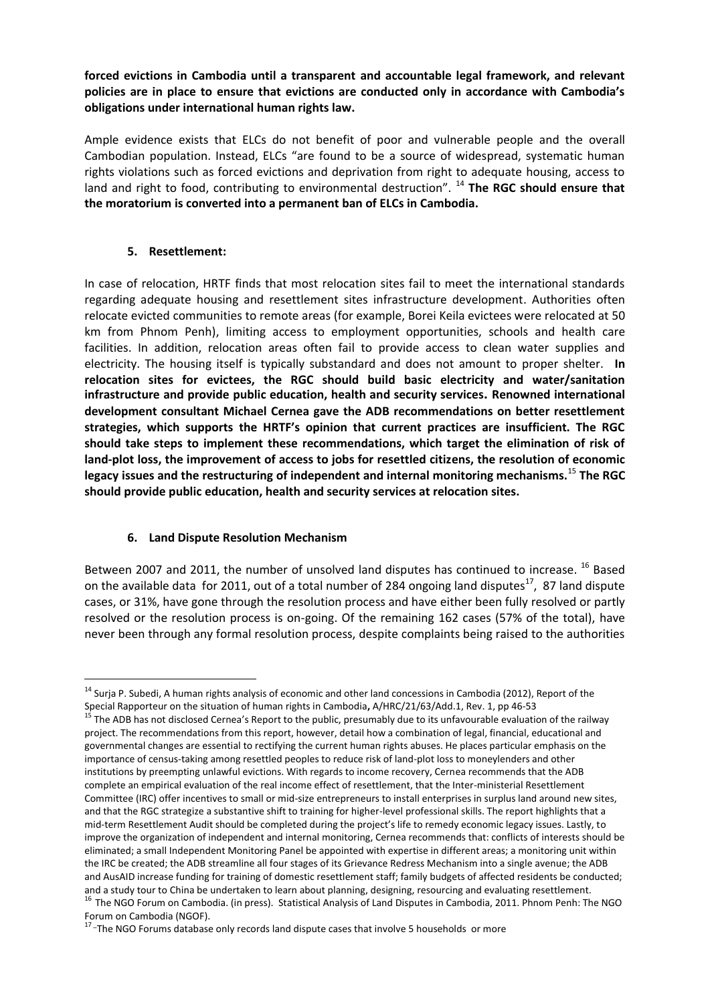**forced evictions in Cambodia until a transparent and accountable legal framework, and relevant policies are in place to ensure that evictions are conducted only in accordance with Cambodia's obligations under international human rights law.** 

Ample evidence exists that ELCs do not benefit of poor and vulnerable people and the overall Cambodian population. Instead, ELCs "are found to be a source of widespread, systematic human rights violations such as forced evictions and deprivation from right to adequate housing, access to land and right to food, contributing to environmental destruction". <sup>14</sup> The RGC should ensure that **the moratorium is converted into a permanent ban of ELCs in Cambodia.** 

## **5. Resettlement:**

-

In case of relocation, HRTF finds that most relocation sites fail to meet the international standards regarding adequate housing and resettlement sites infrastructure development. Authorities often relocate evicted communities to remote areas (for example, Borei Keila evictees were relocated at 50 km from Phnom Penh), limiting access to employment opportunities, schools and health care facilities. In addition, relocation areas often fail to provide access to clean water supplies and electricity. The housing itself is typically substandard and does not amount to proper shelter. **In relocation sites for evictees, the RGC should build basic electricity and water/sanitation infrastructure and provide public education, health and security services. Renowned international development consultant Michael Cernea gave the ADB recommendations on better resettlement strategies, which supports the HRTF's opinion that current practices are insufficient. The RGC should take steps to implement these recommendations, which target the elimination of risk of land-plot loss, the improvement of access to jobs for resettled citizens, the resolution of economic legacy issues and the restructuring of independent and internal monitoring mechanisms.**<sup>15</sup> **The RGC should provide public education, health and security services at relocation sites.** 

## **6. Land Dispute Resolution Mechanism**

Between 2007 and 2011, the number of unsolved land disputes has continued to increase. <sup>16</sup> Based on the available data for 2011, out of a total number of 284 ongoing land disputes<sup>17</sup>, 87 land dispute cases, or 31%, have gone through the resolution process and have either been fully resolved or partly resolved or the resolution process is on-going. Of the remaining 162 cases (57% of the total), have never been through any formal resolution process, despite complaints being raised to the authorities

<sup>&</sup>lt;sup>14</sup> Suria P. Subedi, A human rights analysis of economic and other land concessions in Cambodia (2012), Report of the Special Rapporteur on the situation of human rights in Cambodia**,** A/HRC/21/63/Add.1, Rev. 1, pp 46-53

<sup>&</sup>lt;sup>15</sup> The ADB has not disclosed Cernea's Report to the public, presumably due to its unfavourable evaluation of the railway project. The recommendations from this report, however, detail how a combination of legal, financial, educational and governmental changes are essential to rectifying the current human rights abuses. He places particular emphasis on the importance of census-taking among resettled peoples to reduce risk of land-plot loss to moneylenders and other institutions by preempting unlawful evictions. With regards to income recovery, Cernea recommends that the ADB complete an empirical evaluation of the real income effect of resettlement, that the Inter-ministerial Resettlement Committee (IRC) offer incentives to small or mid-size entrepreneurs to install enterprises in surplus land around new sites, and that the RGC strategize a substantive shift to training for higher-level professional skills. The report highlights that a mid-term Resettlement Audit should be completed during the project's life to remedy economic legacy issues. Lastly, to improve the organization of independent and internal monitoring, Cernea recommends that: conflicts of interests should be eliminated; a small Independent Monitoring Panel be appointed with expertise in different areas; a monitoring unit within the IRC be created; the ADB streamline all four stages of its Grievance Redress Mechanism into a single avenue; the ADB and AusAID increase funding for training of domestic resettlement staff; family budgets of affected residents be conducted; and a study tour to China be undertaken to learn about planning, designing, resourcing and evaluating resettlement. <sup>16</sup> The NGO Forum on Cambodia. (in press). Statistical Analysis of Land Disputes in Cambodia, 2011. Phnom Penh: The NGO

Forum on Cambodia (NGOF).<br><sup>17</sup>-The NGO Forums database only records land dispute cases that involve 5 households or more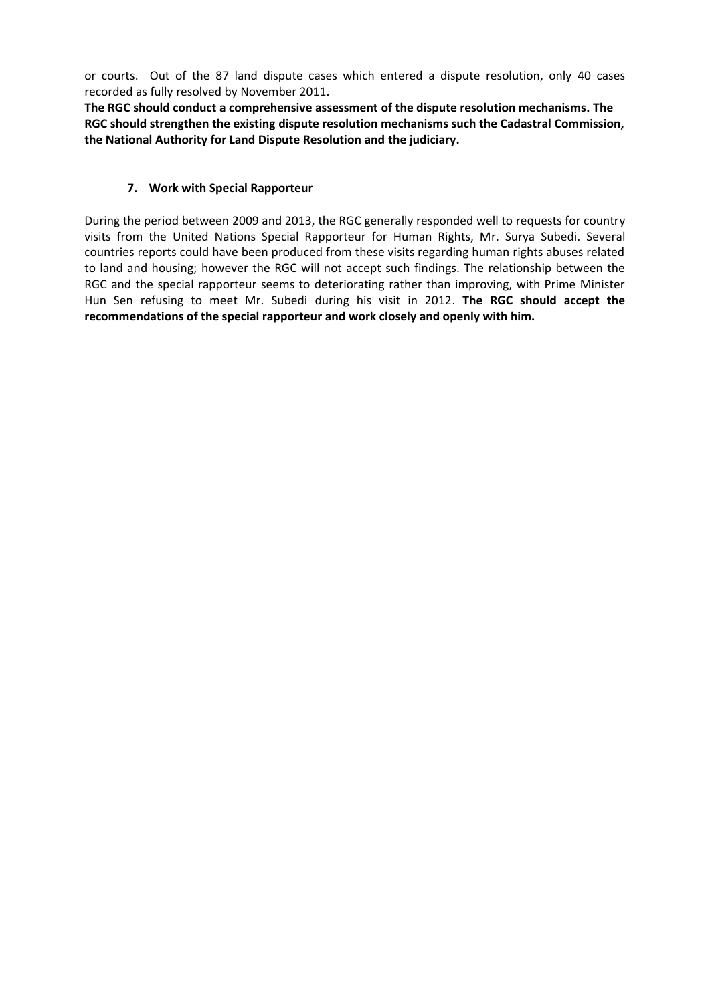or courts. Out of the 87 land dispute cases which entered a dispute resolution, only 40 cases recorded as fully resolved by November 2011.

**The RGC should conduct a comprehensive assessment of the dispute resolution mechanisms. The RGC should strengthen the existing dispute resolution mechanisms such the Cadastral Commission, the National Authority for Land Dispute Resolution and the judiciary.** 

## **7. Work with Special Rapporteur**

During the period between 2009 and 2013, the RGC generally responded well to requests for country visits from the United Nations Special Rapporteur for Human Rights, Mr. Surya Subedi. Several countries reports could have been produced from these visits regarding human rights abuses related to land and housing; however the RGC will not accept such findings. The relationship between the RGC and the special rapporteur seems to deteriorating rather than improving, with Prime Minister Hun Sen refusing to meet Mr. Subedi during his visit in 2012. **The RGC should accept the recommendations of the special rapporteur and work closely and openly with him.**